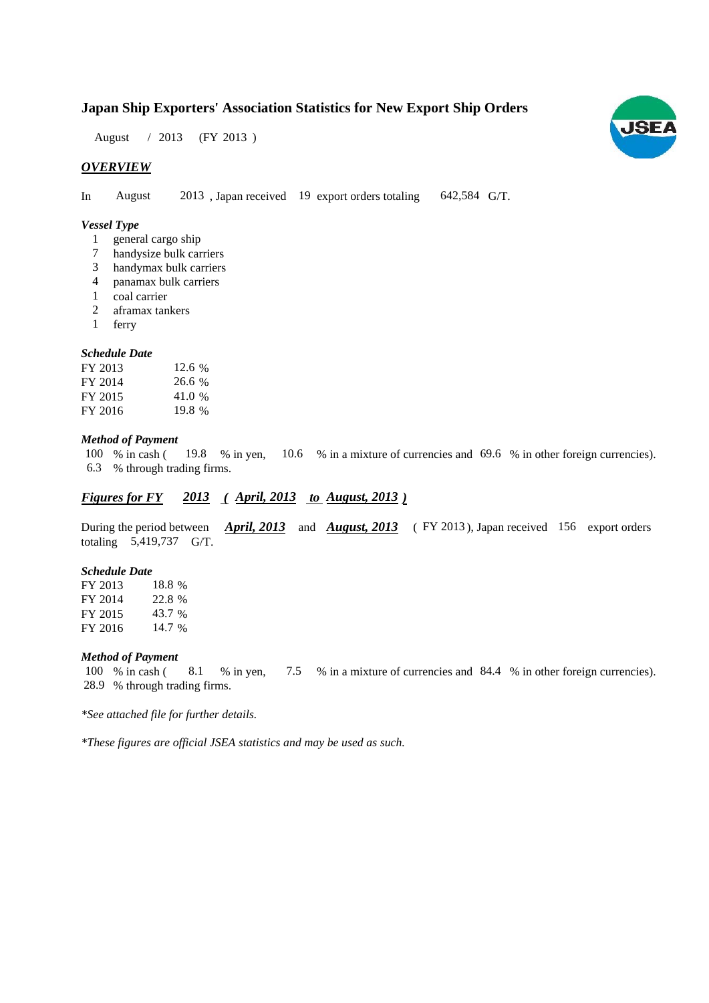# **Japan Ship Exporters' Association Statistics for New Export Ship Orders**

August / 2013 (FY 2013)

## *OVERVIEW*

In August 2013, Japan received 19 export orders totaling 642,584 G/T. August

#### *Vessel Type*

- 1 general cargo ship
- handysize bulk carriers 7
- handymax bulk carriers 3
- panamax bulk carriers 4
- coal carrier 1
- aframax tankers 2
- ferry 1

#### *Schedule Date*

| FY 2013 | 12.6 % |
|---------|--------|
| FY 2014 | 26.6 % |
| FY 2015 | 41.0 % |
| FY 2016 | 19.8 % |

#### *Method of Payment*

% in cash ( $\frac{19.8}{8}$  % in yen,  $\frac{10.6}{8}$  % in a mixture of currencies and 69.6 % in other foreign currencies). % through trading firms. 6.3 100 % in cash (

## *Figures for FY* 2013 (*April, 2013 to August, 2013*)

During the period between *April, 2013* and *August, 2013* (FY 2013), Japan received 156 export orders totaling 5,419,737 G/T.

#### *Schedule Date*

FY 2013 FY 2014 FY 2015 FY 2016 18.8% 22.8 % 43.7 % 14.7 %

### *Method of Payment*

100 % in cash (8.1 % in yen, 7.5 % in a mixture of currencies and 84.4 % in other foreign currencies). % through trading firms. 28.9

*\*See attached file for further details.*

*\*These figures are official JSEA statistics and may be used as such.*

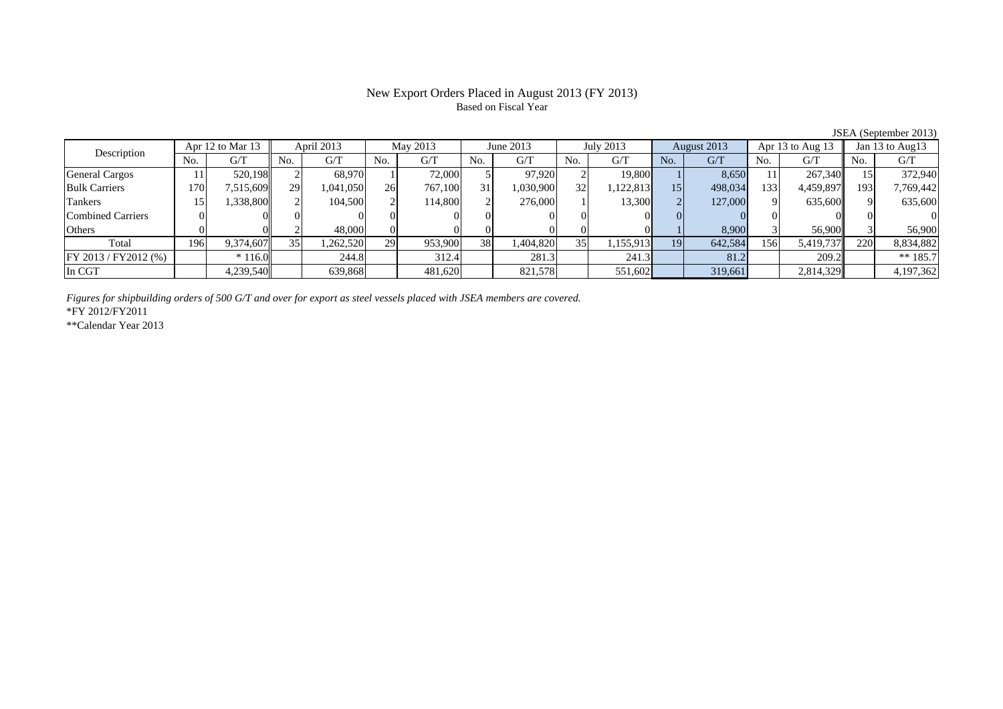# New Export Orders Placed in August 2013 (FY 2013) Based on Fiscal Year

| Description           |     | Apr 12 to Mar 13 |     | April 2013 |     | May 2013 |     | June 2013 |     | July 2013 |     | August 2013 |     | Apr 13 to Aug 13 |      | Jan 13 to Aug13 |
|-----------------------|-----|------------------|-----|------------|-----|----------|-----|-----------|-----|-----------|-----|-------------|-----|------------------|------|-----------------|
|                       | No. | G/T              | No. | G/T        | No. | G/T      | No. | G/T       | No. | G/T       | No. | G/T         | No. | G/T              | No.  | G/T             |
| <b>General Cargos</b> |     | 520,198          |     | 68.970     |     | 72,000   |     | 97.920    |     | 19,800    |     | 8,650       |     | 267,340          |      | 372,940         |
| <b>Bulk Carriers</b>  | 170 | 7,515,609        | 29  | 1,041,050  | 26  | 767,100  | 31. | .030,900  | 32  | 1,122,813 | 15  | 498,034     | 133 | 4,459,897        | 1931 | 7,769,442       |
| Tankers               |     | 1,338,800        |     | 104,500    |     | 114,800  |     | 276,000   |     | 13,300    |     | 127,000     |     | 635,600          |      | 635,600         |
| Combined Carriers     |     |                  |     |            |     |          |     |           |     |           |     |             |     |                  |      |                 |
| Others                |     |                  |     | 48,000     |     |          |     |           |     |           |     | 8.900       |     | 56,900           |      | 56,900          |
| Total                 | 196 | 9,374,607        | 35  | 1,262,520  | 29  | 953,900  | 38  | 1,404,820 | 35  | 1,155,913 | 19  | 642,584     | 156 | 5,419,737        | 220  | 8,834,882       |
| FY 2013 / FY2012 (%)  |     | $*116.0$         |     | 244.8      |     | 312.4    |     | 281.3     |     | 241.3     |     | 81.2        |     | 209.2            |      | ** $185.7$      |
| In CGT                |     | 4,239,540        |     | 639,868    |     | 481,620  |     | 821,578   |     | 551,602   |     | 319,661     |     | 2,814,329        |      | 4,197,362       |

*Figures for shipbuilding orders of 500 G/T and over for export as steel vessels placed with JSEA members are covered.*

\*FY 2012/FY2011

\*\*Calendar Year 2013

JSEA (September 2013)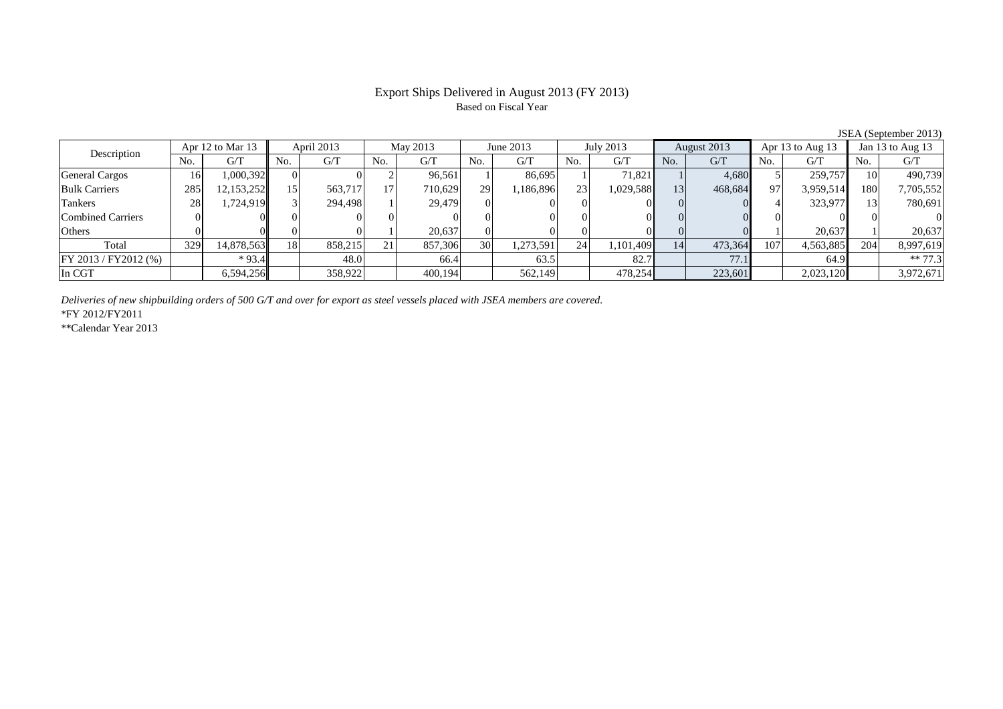# Based on Fiscal Year

JSEA (September 2013)<br> $\overline{3}$   $\overline{)}$  Jan 13 to Aug 13 No. G/T No. G/T No. G/T No. G/T No. G/T No. G/T No. G/T No. G/T $G/T$ General Cargos ( 16 1,000,392 0 0 0 2 96,561 1 86,695 1 71,821 1 4,680 5 259,757 10 490,739 Bulk Carriers 285 12,153,252 15 563,717 17 710,629 29 1,186,896 23 1,029,588 13 468,684 97 3,959,514 180 7,705,552 Tankers 28 1,724,919 3 294,498 1 29,479 0 0 0 0 0 0 4 323,977 13 780,691 Combined Carriers 0 0 0 0 0 0 0 0 0 0 0 0 0 0 0 0Others | 0 | 0 | 0 | 1 | 20,637 | 0 | 0 | 0 | 0 | 1 | 20,637 | 1 | 20,637 Total 329 14,878,563 18 858,215 21 857,306 30 1,273,591 24 1,101,409 14 473,364 107 4,563,885 204 8,997,619 FY 2013 / FY2012 (%) \* 93.4 48.0 66.4 63.5 82.7 77.1 64.9 \*\* 77.3 In CGT | | 6,594,256|| | 358,922| | 400,194| | 562,149| | 478,254| | 223,601| | 2,023,120|| | 3,972,671 Description Apr 12 to Mar 13 | April 2013 | May 2013 | June 2013 | July 2013 | August 2013 | Apr 13 to Aug 13

*Deliveries of new shipbuilding orders of 500 G/T and over for export as steel vessels placed with JSEA members are covered.*

\*FY 2012/FY2011

\*\*Calendar Year 2013

# Export Ships Delivered in August 2013 (FY 2013)